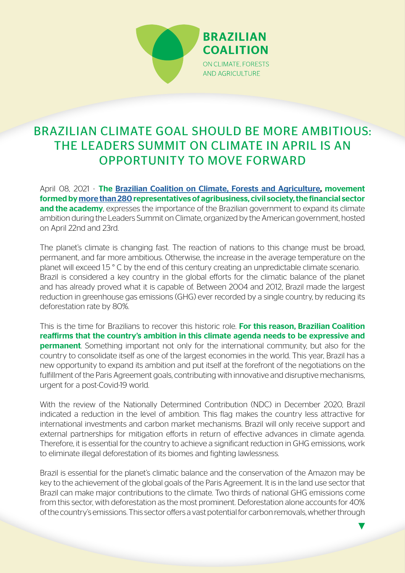

# BRAZILIAN CLIMATE GOAL SHOULD BE MORE AMBITIOUS: THE LEADERS SUMMIT ON CLIMATE IN APRIL IS AN OPPORTUNITY TO MOVE FORWARD

April 08, 2021 - The [Brazilian Coalition on Climate, Forests and Agriculture,](http://www.coalizaobr.com.br/home/index.php/en/) movement formed by [more than 280](http://www.coalizaobr.com.br/home/index.php/en/sobre-a-coalizao-2/who-we-are/participantes) representatives of agribusiness, civil society, the financial sector and the academy, expresses the importance of the Brazilian government to expand its climate ambition during the Leaders Summit on Climate, organized by the American government, hosted on April 22nd and 23rd.

The planet's climate is changing fast. The reaction of nations to this change must be broad, permanent, and far more ambitious. Otherwise, the increase in the average temperature on the planet will exceed 1.5 ° C by the end of this century creating an unpredictable climate scenario. Brazil is considered a key country in the global efforts for the climatic balance of the planet and has already proved what it is capable of. Between 2004 and 2012, Brazil made the largest reduction in greenhouse gas emissions (GHG) ever recorded by a single country, by reducing its deforestation rate by 80%.

This is the time for Brazilians to recover this historic role. For this reason, Brazilian Coalition reaffirms that the country's ambition in this climate agenda needs to be expressive and **permanent**. Something important not only for the international community, but also for the country to consolidate itself as one of the largest economies in the world. This year, Brazil has a new opportunity to expand its ambition and put itself at the forefront of the negotiations on the fulfillment of the Paris Agreement goals, contributing with innovative and disruptive mechanisms, urgent for a post-Covid-19 world.

With the review of the Nationally Determined Contribution (NDC) in December 2020, Brazil indicated a reduction in the level of ambition. This flag makes the country less attractive for international investments and carbon market mechanisms. Brazil will only receive support and external partnerships for mitigation efforts in return of effective advances in climate agenda. Therefore, it is essential for the country to achieve a significant reduction in GHG emissions, work to eliminate illegal deforestation of its biomes and fighting lawlessness.

Brazil is essential for the planet's climatic balance and the conservation of the Amazon may be key to the achievement of the global goals of the Paris Agreement. It is in the land use sector that Brazil can make major contributions to the climate. Two thirds of national GHG emissions come from this sector, with deforestation as the most prominent. Deforestation alone accounts for 40% of the country's emissions. This sector offers a vast potential for carbon removals, whether through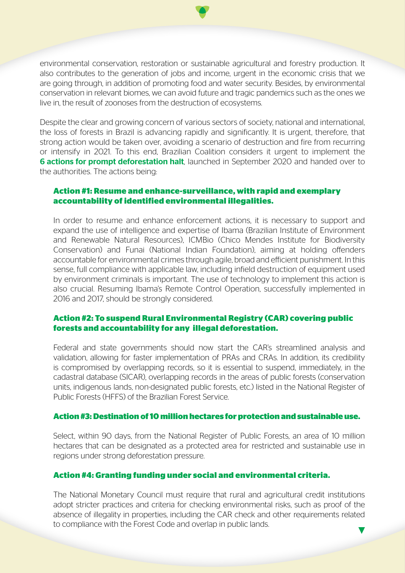environmental conservation, restoration or sustainable agricultural and forestry production. It also contributes to the generation of jobs and income, urgent in the economic crisis that we are going through, in addition of promoting food and water security. Besides, by environmental conservation in relevant biomes, we can avoid future and tragic pandemics such as the ones we live in, the result of zoonoses from the destruction of ecosystems.

Despite the clear and growing concern of various sectors of society, national and international, the loss of forests in Brazil is advancing rapidly and significantly. It is urgent, therefore, that strong action would be taken over, avoiding a scenario of destruction and fire from recurring or intensify in 2021. To this end, Brazilian Coalition considers it urgent to implement the **6 actions for prompt deforestation halt**, launched in September 2020 and handed over to the authorities. The actions being:

### **Action #1: Resume and enhance-surveillance, with rapid and exemplary accountability of identified environmental illegalities.**

In order to resume and enhance enforcement actions, it is necessary to support and expand the use of intelligence and expertise of Ibama (Brazilian Institute of Environment and Renewable Natural Resources), ICMBio (Chico Mendes Institute for Biodiversity Conservation) and Funai (National Indian Foundation), aiming at holding offenders accountable for environmental crimes through agile, broad and efficient punishment. In this sense, full compliance with applicable law, including infield destruction of equipment used by environment criminals is important. The use of technology to implement this action is also crucial. Resuming Ibama's Remote Control Operation, successfully implemented in 2016 and 2017, should be strongly considered.

# **Action #2: To suspend Rural Environmental Registry (CAR) covering public forests and accountability for any illegal deforestation.**

Federal and state governments should now start the CAR's streamlined analysis and validation, allowing for faster implementation of PRAs and CRAs. In addition, its credibility is compromised by overlapping records, so it is essential to suspend, immediately, in the cadastral database (SICAR), overlapping records in the areas of public forests (conservation units, indigenous lands, non-designated public forests, etc.) listed in the National Register of Public Forests (HFFS) of the Brazilian Forest Service.

#### **Action #3: Destination of 10 million hectares for protection and sustainable use.**

Select, within 90 days, from the National Register of Public Forests, an area of 10 million hectares that can be designated as a protected area for restricted and sustainable use in regions under strong deforestation pressure.

#### **Action #4: Granting funding under social and environmental criteria.**

The National Monetary Council must require that rural and agricultural credit institutions adopt stricter practices and criteria for checking environmental risks, such as proof of the absence of illegality in properties, including the CAR check and other requirements related to compliance with the Forest Code and overlap in public lands.